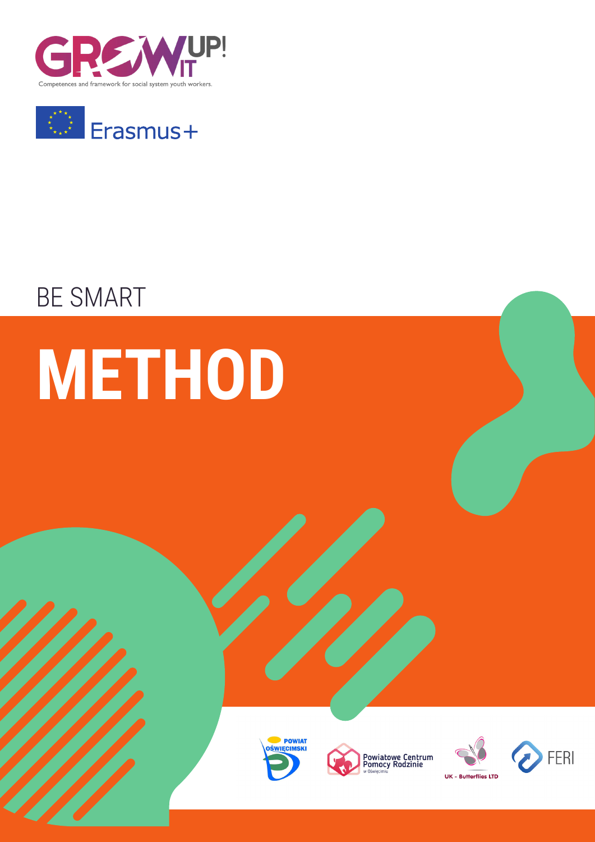



# BE SMART

# **METHOD**







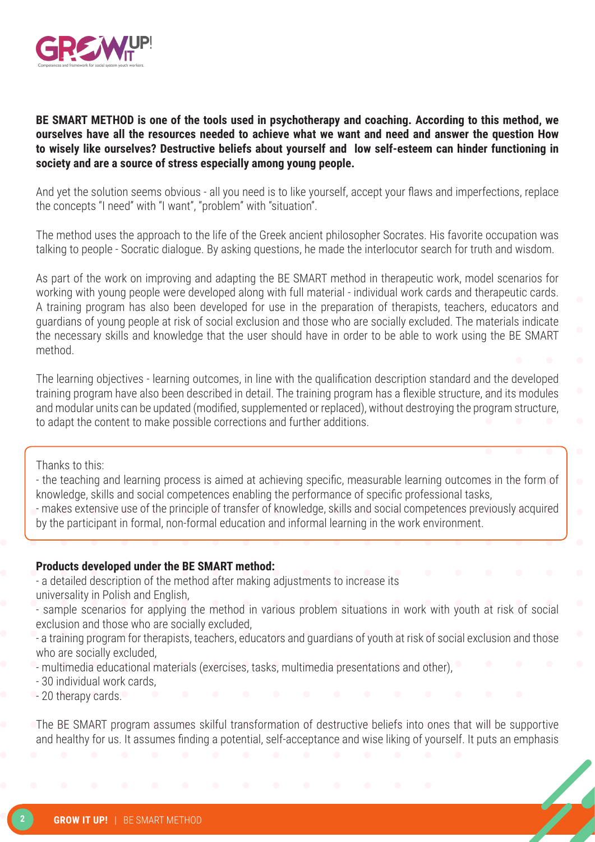

**BE SMART METHOD is one of the tools used in psychotherapy and coaching. According to this method, we ourselves have all the resources needed to achieve what we want and need and answer the question How to wisely like ourselves? Destructive beliefs about yourself and low self-esteem can hinder functioning in society and are a source of stress especially among young people.**

And yet the solution seems obvious - all you need is to like yourself, accept your flaws and imperfections, replace the concepts "I need" with "I want", "problem" with "situation".

The method uses the approach to the life of the Greek ancient philosopher Socrates. His favorite occupation was talking to people - Socratic dialogue. By asking questions, he made the interlocutor search for truth and wisdom.

As part of the work on improving and adapting the BE SMART method in therapeutic work, model scenarios for working with young people were developed along with full material - individual work cards and therapeutic cards. A training program has also been developed for use in the preparation of therapists, teachers, educators and guardians of young people at risk of social exclusion and those who are socially excluded. The materials indicate the necessary skills and knowledge that the user should have in order to be able to work using the BE SMART method.

The learning objectives - learning outcomes, in line with the qualification description standard and the developed training program have also been described in detail. The training program has a flexible structure, and its modules and modular units can be updated (modified, supplemented or replaced), without destroying the program structure, to adapt the content to make possible corrections and further additions.

Thanks to this:

- the teaching and learning process is aimed at achieving specific, measurable learning outcomes in the form of knowledge, skills and social competences enabling the performance of specific professional tasks,

- makes extensive use of the principle of transfer of knowledge, skills and social competences previously acquired by the participant in formal, non-formal education and informal learning in the work environment.

#### **Products developed under the BE SMART method:**

- a detailed description of the method after making adjustments to increase its

universality in Polish and English,

- sample scenarios for applying the method in various problem situations in work with youth at risk of social exclusion and those who are socially excluded,

- a training program for therapists, teachers, educators and guardians of youth at risk of social exclusion and those who are socially excluded,

- multimedia educational materials (exercises, tasks, multimedia presentations and other),

- 30 individual work cards,
- 20 therapy cards.

The BE SMART program assumes skilful transformation of destructive beliefs into ones that will be supportive and healthy for us. It assumes finding a potential, self-acceptance and wise liking of yourself. It puts an emphasis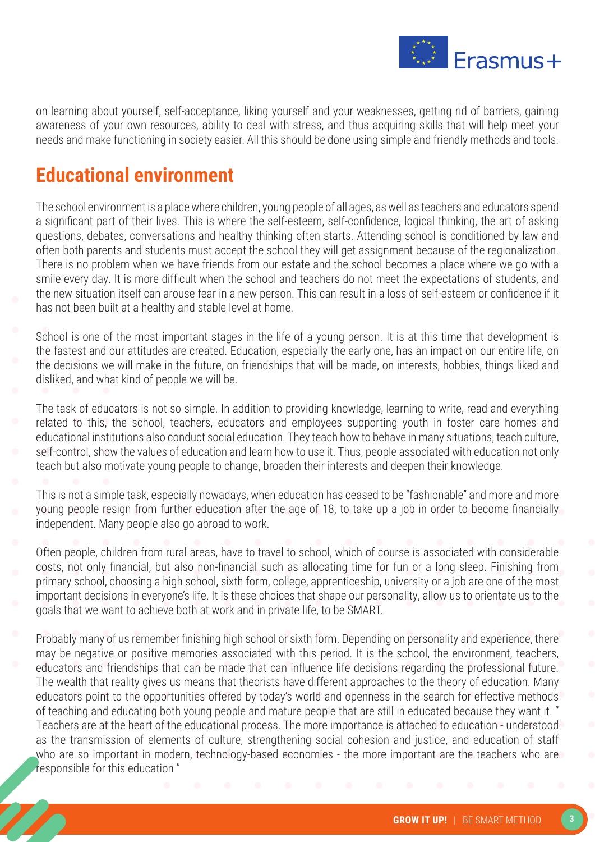

on learning about yourself, self-acceptance, liking yourself and your weaknesses, getting rid of barriers, gaining awareness of your own resources, ability to deal with stress, and thus acquiring skills that will help meet your needs and make functioning in society easier. All this should be done using simple and friendly methods and tools.

# **Educational environment**

The school environment is a place where children, young people of all ages, as well as teachers and educators spend a significant part of their lives. This is where the self-esteem, self-confidence, logical thinking, the art of asking questions, debates, conversations and healthy thinking often starts. Attending school is conditioned by law and often both parents and students must accept the school they will get assignment because of the regionalization. There is no problem when we have friends from our estate and the school becomes a place where we go with a smile every day. It is more difficult when the school and teachers do not meet the expectations of students, and the new situation itself can arouse fear in a new person. This can result in a loss of self-esteem or confidence if it has not been built at a healthy and stable level at home.

School is one of the most important stages in the life of a young person. It is at this time that development is the fastest and our attitudes are created. Education, especially the early one, has an impact on our entire life, on the decisions we will make in the future, on friendships that will be made, on interests, hobbies, things liked and disliked, and what kind of people we will be.

The task of educators is not so simple. In addition to providing knowledge, learning to write, read and everything related to this, the school, teachers, educators and employees supporting youth in foster care homes and educational institutions also conduct social education. They teach how to behave in many situations, teach culture, self-control, show the values of education and learn how to use it. Thus, people associated with education not only teach but also motivate young people to change, broaden their interests and deepen their knowledge.

This is not a simple task, especially nowadays, when education has ceased to be "fashionable" and more and more young people resign from further education after the age of 18, to take up a job in order to become financially independent. Many people also go abroad to work.

Often people, children from rural areas, have to travel to school, which of course is associated with considerable costs, not only financial, but also non-financial such as allocating time for fun or a long sleep. Finishing from primary school, choosing a high school, sixth form, college, apprenticeship, university or a job are one of the most important decisions in everyone's life. It is these choices that shape our personality, allow us to orientate us to the goals that we want to achieve both at work and in private life, to be SMART.

Probably many of us remember finishing high school or sixth form. Depending on personality and experience, there may be negative or positive memories associated with this period. It is the school, the environment, teachers, educators and friendships that can be made that can influence life decisions regarding the professional future. The wealth that reality gives us means that theorists have different approaches to the theory of education. Many educators point to the opportunities offered by today's world and openness in the search for effective methods of teaching and educating both young people and mature people that are still in educated because they want it. '' Teachers are at the heart of the educational process. The more importance is attached to education - understood as the transmission of elements of culture, strengthening social cohesion and justice, and education of staff who are so important in modern, technology-based economies - the more important are the teachers who are responsible for this education ''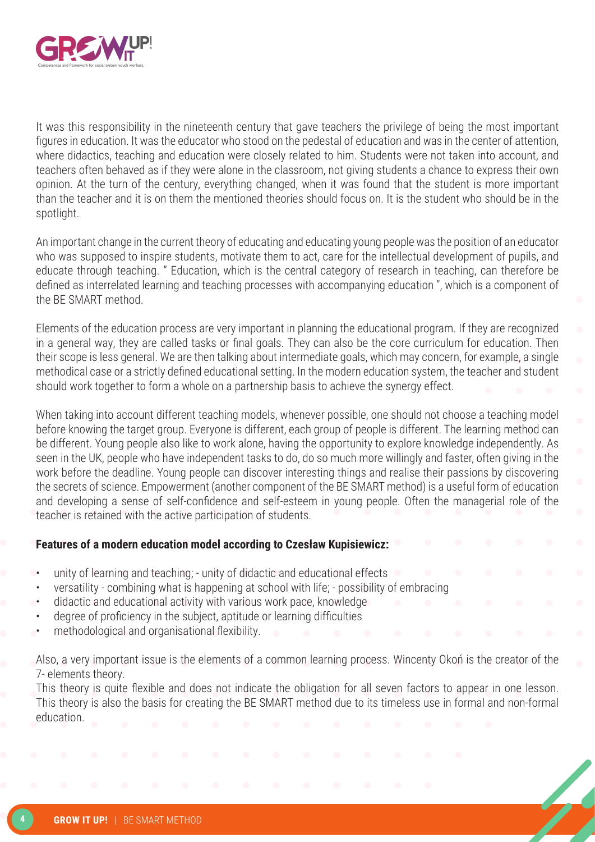

It was this responsibility in the nineteenth century that gave teachers the privilege of being the most important figures in education. It was the educator who stood on the pedestal of education and was in the center of attention, where didactics, teaching and education were closely related to him. Students were not taken into account, and teachers often behaved as if they were alone in the classroom, not giving students a chance to express their own opinion. At the turn of the century, everything changed, when it was found that the student is more important than the teacher and it is on them the mentioned theories should focus on. It is the student who should be in the spotlight.

An important change in the current theory of educating and educating young people was the position of an educator who was supposed to inspire students, motivate them to act, care for the intellectual development of pupils, and educate through teaching. '' Education, which is the central category of research in teaching, can therefore be defined as interrelated learning and teaching processes with accompanying education '', which is a component of the BE SMART method.

Elements of the education process are very important in planning the educational program. If they are recognized in a general way, they are called tasks or final goals. They can also be the core curriculum for education. Then their scope is less general. We are then talking about intermediate goals, which may concern, for example, a single methodical case or a strictly defined educational setting. In the modern education system, the teacher and student should work together to form a whole on a partnership basis to achieve the synergy effect.

When taking into account different teaching models, whenever possible, one should not choose a teaching model before knowing the target group. Everyone is different, each group of people is different. The learning method can be different. Young people also like to work alone, having the opportunity to explore knowledge independently. As seen in the UK, people who have independent tasks to do, do so much more willingly and faster, often giving in the work before the deadline. Young people can discover interesting things and realise their passions by discovering the secrets of science. Empowerment (another component of the BE SMART method) is a useful form of education and developing a sense of self-confidence and self-esteem in young people. Often the managerial role of the teacher is retained with the active participation of students.

#### **Features of a modern education model according to Czesław Kupisiewicz:**

- unity of learning and teaching; unity of didactic and educational effects
- versatility combining what is happening at school with life; possibility of embracing
- didactic and educational activity with various work pace, knowledge
- degree of proficiency in the subject, aptitude or learning difficulties
- methodological and organisational flexibility.

Also, a very important issue is the elements of a common learning process. Wincenty Okoń is the creator of the 7- elements theory.

This theory is quite flexible and does not indicate the obligation for all seven factors to appear in one lesson. This theory is also the basis for creating the BE SMART method due to its timeless use in formal and non-formal education.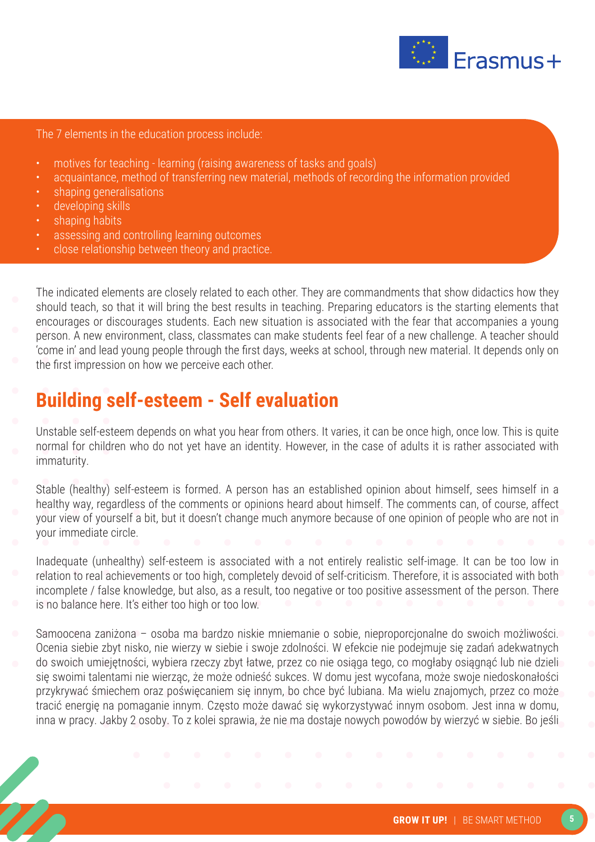

The 7 elements in the education process include:

- motives for teaching learning (raising awareness of tasks and goals)
- acquaintance, method of transferring new material, methods of recording the information provided
- shaping generalisations
- developing skills
- shaping habits
- assessing and controlling learning outcomes
- close relationship between theory and practice.

The indicated elements are closely related to each other. They are commandments that show didactics how they should teach, so that it will bring the best results in teaching. Preparing educators is the starting elements that encourages or discourages students. Each new situation is associated with the fear that accompanies a young person. A new environment, class, classmates can make students feel fear of a new challenge. A teacher should 'come in' and lead young people through the first days, weeks at school, through new material. It depends only on the first impression on how we perceive each other.

#### **Building self-esteem - Self evaluation**

Unstable self-esteem depends on what you hear from others. It varies, it can be once high, once low. This is quite normal for children who do not yet have an identity. However, in the case of adults it is rather associated with immaturity.

Stable (healthy) self-esteem is formed. A person has an established opinion about himself, sees himself in a healthy way, regardless of the comments or opinions heard about himself. The comments can, of course, affect your view of yourself a bit, but it doesn't change much anymore because of one opinion of people who are not in your immediate circle.

Inadequate (unhealthy) self-esteem is associated with a not entirely realistic self-image. It can be too low in relation to real achievements or too high, completely devoid of self-criticism. Therefore, it is associated with both incomplete / false knowledge, but also, as a result, too negative or too positive assessment of the person. There is no balance here. It's either too high or too low.

Samoocena zaniżona – osoba ma bardzo niskie mniemanie o sobie, nieproporcjonalne do swoich możliwości. Ocenia siebie zbyt nisko, nie wierzy w siebie i swoje zdolności. W efekcie nie podejmuje się zadań adekwatnych do swoich umiejętności, wybiera rzeczy zbyt łatwe, przez co nie osiąga tego, co mogłaby osiągnąć lub nie dzieli się swoimi talentami nie wierząc, że może odnieść sukces. W domu jest wycofana, może swoje niedoskonałości przykrywać śmiechem oraz poświęcaniem się innym, bo chce być lubiana. Ma wielu znajomych, przez co może tracić energię na pomaganie innym. Często może dawać się wykorzystywać innym osobom. Jest inna w domu, inna w pracy. Jakby 2 osoby. To z kolei sprawia, że nie ma dostaje nowych powodów by wierzyć w siebie. Bo jeśli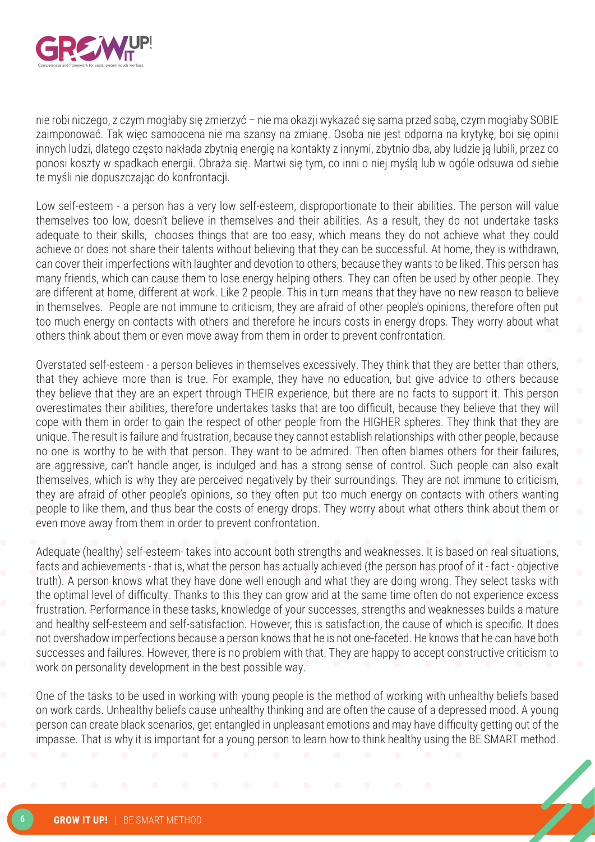

nie robi niczego, z czym mogłaby się zmierzyć – nie ma okazji wykazać się sama przed sobą, czym mogłaby SOBIE zaimponować. Tak więc samoocena nie ma szansy na zmianę. Osoba nie jest odporna na krytykę, boi się opinii innych ludzi, dlatego często nakłada zbytnią energię na kontakty z innymi, zbytnio dba, aby ludzie ją lubili, przez co ponosi koszty w spadkach energii. Obraża się. Martwi się tym, co inni o niej myślą lub w ogóle odsuwa od siebie te myśli nie dopuszczając do konfrontacji.

Low self-esteem - a person has a very low self-esteem, disproportionate to their abilities. The person will value themselves too low, doesn't believe in themselves and their abilities. As a result, they do not undertake tasks adequate to their skills, chooses things that are too easy, which means they do not achieve what they could achieve or does not share their talents without believing that they can be successful. At home, they is withdrawn, can cover their imperfections with laughter and devotion to others, because they wants to be liked. This person has many friends, which can cause them to lose energy helping others. They can often be used by other people. They are different at home, different at work. Like 2 people. This in turn means that they have no new reason to believe in themselves. People are not immune to criticism, they are afraid of other people's opinions, therefore often put too much energy on contacts with others and therefore he incurs costs in energy drops. They worry about what others think about them or even move away from them in order to prevent confrontation.

Overstated self-esteem - a person believes in themselves excessively. They think that they are better than others, that they achieve more than is true. For example, they have no education, but give advice to others because they believe that they are an expert through THEIR experience, but there are no facts to support it. This person overestimates their abilities, therefore undertakes tasks that are too difficult, because they believe that they will cope with them in order to gain the respect of other people from the HIGHER spheres. They think that they are unique. The result is failure and frustration, because they cannot establish relationships with other people, because no one is worthy to be with that person. They want to be admired. Then often blames others for their failures, are aggressive, can't handle anger, is indulged and has a strong sense of control. Such people can also exalt themselves, which is why they are perceived negatively by their surroundings. They are not immune to criticism, they are afraid of other people's opinions, so they often put too much energy on contacts with others wanting people to like them, and thus bear the costs of energy drops. They worry about what others think about them or even move away from them in order to prevent confrontation.

Adequate (healthy) self-esteem- takes into account both strengths and weaknesses. It is based on real situations, facts and achievements - that is, what the person has actually achieved (the person has proof of it - fact - objective truth). A person knows what they have done well enough and what they are doing wrong. They select tasks with the optimal level of difficulty. Thanks to this they can grow and at the same time often do not experience excess frustration. Performance in these tasks, knowledge of your successes, strengths and weaknesses builds a mature and healthy self-esteem and self-satisfaction. However, this is satisfaction, the cause of which is specific. It does not overshadow imperfections because a person knows that he is not one-faceted. He knows that he can have both successes and failures. However, there is no problem with that. They are happy to accept constructive criticism to work on personality development in the best possible way.

One of the tasks to be used in working with young people is the method of working with unhealthy beliefs based on work cards. Unhealthy beliefs cause unhealthy thinking and are often the cause of a depressed mood. A young person can create black scenarios, get entangled in unpleasant emotions and may have difficulty getting out of the impasse. That is why it is important for a young person to learn how to think healthy using the BE SMART method.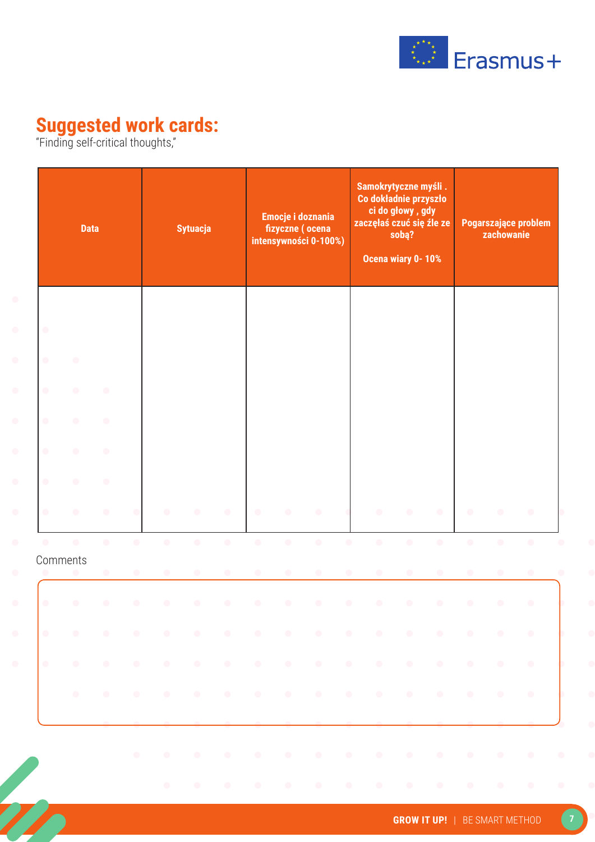

#### **Suggested work cards:**

"Finding self-critical thoughts,"

|                        | <b>Data</b>           |                        |                        |                        | <b>Sytuacja</b>        |                        |                        | Emocje i doznania<br>fizyczne (ocena<br>intensywności 0-100%) |                        |                        | Samokrytyczne myśli.<br>Co dokładnie przyszło<br>ci do głowy, gdy<br>zaczęłaś czuć się źle ze<br>sobą?<br>Ocena wiary 0-10% |                        | Pogarszające problem<br>zachowanie |                        |                        |                        |
|------------------------|-----------------------|------------------------|------------------------|------------------------|------------------------|------------------------|------------------------|---------------------------------------------------------------|------------------------|------------------------|-----------------------------------------------------------------------------------------------------------------------------|------------------------|------------------------------------|------------------------|------------------------|------------------------|
| $\bullet$<br>$\bullet$ | $\bullet$             |                        |                        |                        |                        |                        |                        |                                                               |                        |                        |                                                                                                                             |                        |                                    |                        |                        |                        |
| $\bullet$              | $\bullet$             | $\bullet$              |                        |                        |                        |                        |                        |                                                               |                        |                        |                                                                                                                             |                        |                                    |                        |                        |                        |
| $\bullet$              | $\bullet$             | $\bullet$              |                        |                        |                        |                        |                        |                                                               |                        |                        |                                                                                                                             |                        |                                    |                        |                        |                        |
| $\bullet$              | $\bullet$             | $\bullet$              |                        |                        |                        |                        |                        |                                                               |                        |                        |                                                                                                                             |                        |                                    |                        |                        |                        |
| $\bullet$              | $\bullet$             | $\bullet$              |                        |                        |                        |                        |                        |                                                               |                        |                        |                                                                                                                             |                        |                                    |                        |                        |                        |
| $\bullet$              | $\bullet$             | $\bullet$              |                        | $\bullet$              | $\bullet$              | $\bullet$              | $\bullet$              | $\bullet$                                                     | $\bullet$              |                        | $\bullet$                                                                                                                   | $\bullet$              | $\bullet$                          | $\bullet$              | $\bullet$              | $\bullet$              |
| $\bullet$              | $\bullet$<br>Comments | $\bullet$<br>$\bullet$ | $\bullet$<br>$\bullet$ | $\bullet$<br>$\bullet$ | $\bullet$<br>$\bullet$ | $\bullet$<br>$\bullet$ | $\bullet$<br>$\bullet$ | $\bullet$<br>$\bullet$                                        | $\bullet$<br>$\bullet$ | $\bullet$<br>$\bullet$ | $\bullet$<br>$\bullet$                                                                                                      | $\bullet$<br>$\bullet$ | $\bullet$<br>$\bullet$             | $\bullet$<br>$\bullet$ | $\bullet$<br>$\bullet$ | $\bullet$<br>$\bullet$ |
| $\bullet$              | $\bullet$             | $\bullet$              | $\bullet$              | $\bullet$              | $\bullet$              | $\bullet$              | $\bullet$              | $\bullet$                                                     | $\bullet$              | $\bullet$              | $\bullet$                                                                                                                   | $\bullet$              | $\bullet$                          | $\bullet$              | $\bullet$              | $\bullet$              |
|                        |                       |                        |                        |                        |                        |                        |                        |                                                               |                        |                        |                                                                                                                             |                        |                                    |                        |                        |                        |
| $\bullet$              |                       |                        |                        |                        |                        |                        |                        |                                                               |                        |                        | the contract of the contract of the contract of the contract of the contract of the contract of the contract of             |                        |                                    |                        |                        |                        |
|                        | $\bullet$             |                        |                        |                        |                        |                        |                        |                                                               |                        |                        | the contract of the contract of the contract of the contract of the contract of the contract of the contract of             |                        |                                    |                        |                        | $\bullet$              |
|                        |                       |                        |                        |                        |                        |                        |                        |                                                               |                        |                        |                                                                                                                             |                        |                                    |                        |                        |                        |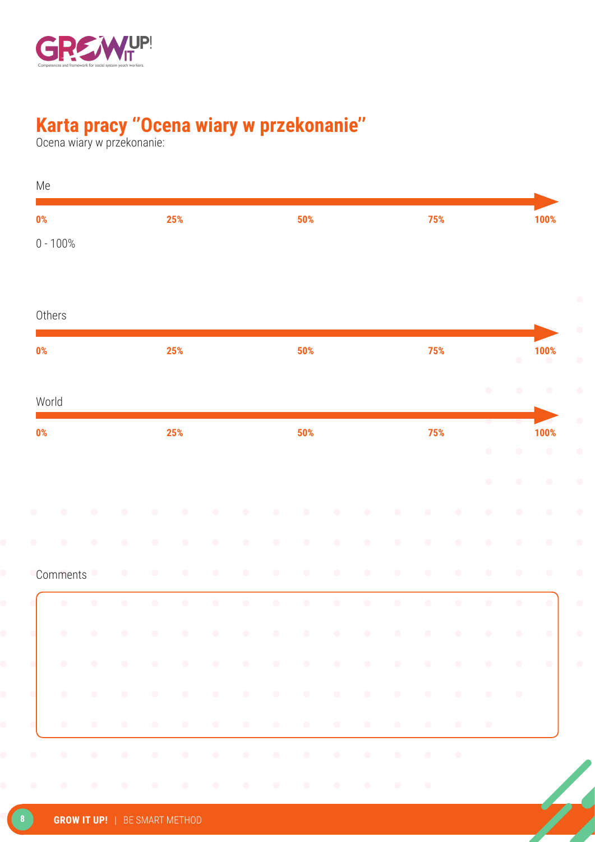

### **Karta pracy ''Ocena wiary w przekonanie''**

Ocena wiary w przekonanie:

| 0%                     |           |           |           |           | 25%       |           |            |           | 50%                                                                                                             |           |           |           | 75%       |           |           |           | 100%              |
|------------------------|-----------|-----------|-----------|-----------|-----------|-----------|------------|-----------|-----------------------------------------------------------------------------------------------------------------|-----------|-----------|-----------|-----------|-----------|-----------|-----------|-------------------|
| $0 - 100%$             |           |           |           |           |           |           |            |           |                                                                                                                 |           |           |           |           |           |           |           |                   |
| Others                 |           |           |           |           |           |           |            |           |                                                                                                                 |           |           |           |           |           |           |           |                   |
| 0%                     |           |           |           |           | 25%       |           |            |           | 50%                                                                                                             |           |           |           | 75%       |           |           | $\bullet$ | 100%<br>$\bullet$ |
| World                  |           |           |           |           |           |           |            |           |                                                                                                                 |           |           |           |           |           | $\bullet$ | $\bullet$ | $\bullet$         |
| 0%                     |           |           |           |           | 25%       |           |            |           | 50%                                                                                                             |           |           |           | 75%       |           |           |           | 100%              |
|                        |           |           |           |           |           |           |            |           |                                                                                                                 |           |           |           |           |           | $\bullet$ | $\bullet$ | $\bullet$         |
|                        |           |           |           |           |           |           |            |           |                                                                                                                 |           |           |           |           |           | $\bullet$ | $\bullet$ | $\bullet$         |
| O                      | $\bullet$ | $\bullet$ | $\bullet$ | $\bullet$ | O         | œ         | $\bullet$  | $\bullet$ | $\bullet$                                                                                                       | $\bullet$ | $\bullet$ | $\bullet$ |           | ۰         | $\bullet$ | $\bullet$ | $\bullet$         |
| $\bullet$              | $\bullet$ | $\bullet$ | $\bullet$ | $\bullet$ | $\bullet$ | $\bullet$ | $\bullet$  | $\bullet$ | $\bullet$                                                                                                       | $\bullet$ | $\bullet$ | $\bullet$ | $\bullet$ | $\bullet$ | $\bullet$ | $\bullet$ | $\bullet$         |
|                        | Comments  |           | $\bullet$ | $\bullet$ | $\bullet$ | $\bullet$ | $\bigcirc$ | $\bullet$ | $\bullet$                                                                                                       | $\bullet$ | O         | $\bullet$ | O         | ۰         | $\bullet$ | $\bullet$ | $\bullet$         |
|                        | O         | $\bullet$ | $\bullet$ | $\bullet$ | $\bullet$ | $\bullet$ | $\bullet$  | $\bullet$ | $\bullet$                                                                                                       | $\bullet$ | $\bullet$ | $\bullet$ | $\bullet$ | $\bullet$ | $\bullet$ | $\bullet$ | $\bullet$         |
|                        |           |           |           |           |           |           |            |           | the contract of the contract of the contract of the contract of the contract of the contract of the contract of |           |           |           |           |           |           |           |                   |
|                        |           |           |           |           |           |           |            |           |                                                                                                                 |           |           |           |           |           |           |           |                   |
| $\left  \cdot \right $ |           |           |           |           |           |           |            |           |                                                                                                                 |           |           |           |           |           |           |           |                   |
|                        |           |           |           |           |           |           |            |           |                                                                                                                 |           |           |           |           |           |           |           |                   |
| $\bullet$              |           |           |           |           |           |           |            |           | the contract of the contract of the contract of the contract of the contract of the contract of the contract of |           |           |           |           |           |           |           |                   |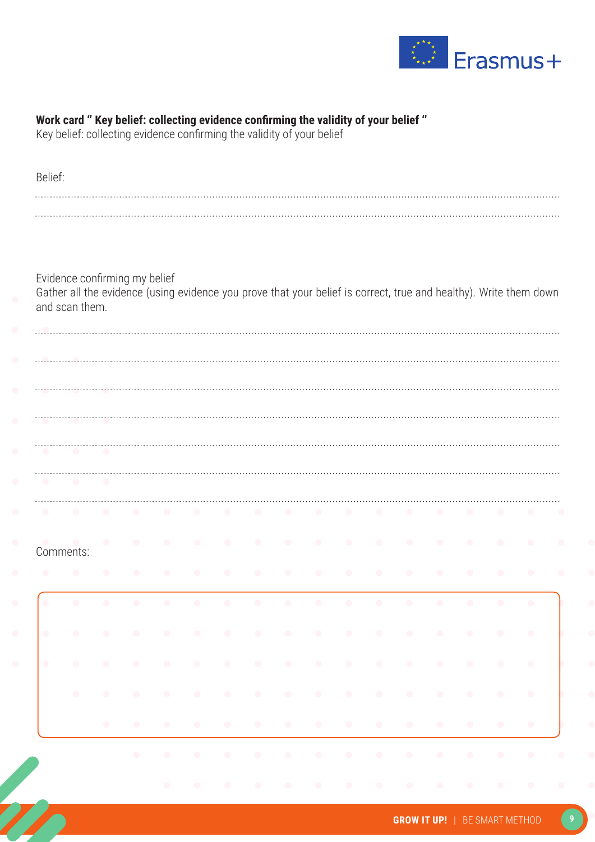

| Belief:                  |                                                                                                                                     |                         |        |                     |  |  |                                                                                                                                                                                                                                           |  |  |  |  |
|--------------------------|-------------------------------------------------------------------------------------------------------------------------------------|-------------------------|--------|---------------------|--|--|-------------------------------------------------------------------------------------------------------------------------------------------------------------------------------------------------------------------------------------------|--|--|--|--|
|                          |                                                                                                                                     |                         |        |                     |  |  |                                                                                                                                                                                                                                           |  |  |  |  |
|                          |                                                                                                                                     |                         |        |                     |  |  |                                                                                                                                                                                                                                           |  |  |  |  |
|                          |                                                                                                                                     |                         |        |                     |  |  |                                                                                                                                                                                                                                           |  |  |  |  |
|                          |                                                                                                                                     |                         |        |                     |  |  |                                                                                                                                                                                                                                           |  |  |  |  |
|                          | Evidence confirming my belief                                                                                                       |                         |        |                     |  |  |                                                                                                                                                                                                                                           |  |  |  |  |
|                          | Gather all the evidence (using evidence you prove that your belief is correct, true and healthy). Write them down<br>and scan them. |                         |        |                     |  |  |                                                                                                                                                                                                                                           |  |  |  |  |
|                          |                                                                                                                                     |                         |        |                     |  |  |                                                                                                                                                                                                                                           |  |  |  |  |
|                          |                                                                                                                                     |                         |        |                     |  |  |                                                                                                                                                                                                                                           |  |  |  |  |
|                          |                                                                                                                                     |                         |        |                     |  |  |                                                                                                                                                                                                                                           |  |  |  |  |
|                          |                                                                                                                                     |                         |        |                     |  |  |                                                                                                                                                                                                                                           |  |  |  |  |
|                          |                                                                                                                                     |                         |        |                     |  |  |                                                                                                                                                                                                                                           |  |  |  |  |
|                          |                                                                                                                                     |                         |        |                     |  |  |                                                                                                                                                                                                                                           |  |  |  |  |
|                          |                                                                                                                                     |                         |        |                     |  |  |                                                                                                                                                                                                                                           |  |  |  |  |
|                          |                                                                                                                                     |                         |        |                     |  |  |                                                                                                                                                                                                                                           |  |  |  |  |
|                          | $\bullet$                                                                                                                           | $\sim$                  |        |                     |  |  |                                                                                                                                                                                                                                           |  |  |  |  |
|                          |                                                                                                                                     |                         |        |                     |  |  |                                                                                                                                                                                                                                           |  |  |  |  |
|                          |                                                                                                                                     |                         |        |                     |  |  |                                                                                                                                                                                                                                           |  |  |  |  |
|                          | Comments:                                                                                                                           |                         |        |                     |  |  |                                                                                                                                                                                                                                           |  |  |  |  |
|                          |                                                                                                                                     |                         |        |                     |  |  |                                                                                                                                                                                                                                           |  |  |  |  |
|                          |                                                                                                                                     |                         |        |                     |  |  |                                                                                                                                                                                                                                           |  |  |  |  |
|                          |                                                                                                                                     |                         |        |                     |  |  |                                                                                                                                                                                                                                           |  |  |  |  |
|                          | $\bullet$                                                                                                                           |                         |        |                     |  |  |                                                                                                                                                                                                                                           |  |  |  |  |
|                          | $\bullet$                                                                                                                           |                         |        |                     |  |  |                                                                                                                                                                                                                                           |  |  |  |  |
| $\bullet$                |                                                                                                                                     |                         |        | $\hat{\mathcal{O}}$ |  |  |                                                                                                                                                                                                                                           |  |  |  |  |
|                          | $\sim$ 0.                                                                                                                           | $\hat{\mathcal{L}}$     | $\sim$ | $\alpha$            |  |  | $\mathcal{A}^{\mathcal{A}}$ , and the set of the set of the set of the set of the set of the set of the set of the set of the set of the set of the set of the set of the set of the set of the set of the set of the set of the set of t |  |  |  |  |
| $\overline{\phantom{a}}$ | $\bullet$                                                                                                                           | $\langle \cdot \rangle$ |        |                     |  |  |                                                                                                                                                                                                                                           |  |  |  |  |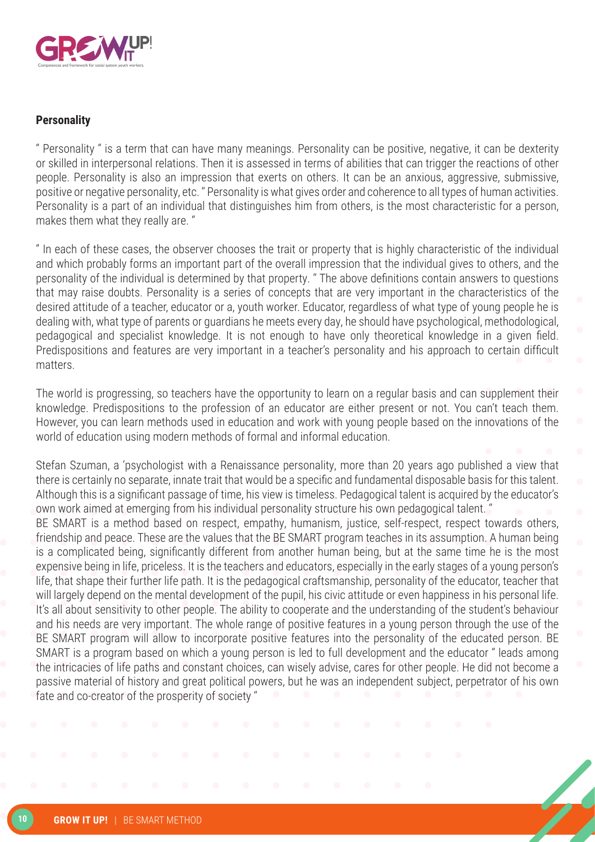

#### **Personality**

'' Personality '' is a term that can have many meanings. Personality can be positive, negative, it can be dexterity or skilled in interpersonal relations. Then it is assessed in terms of abilities that can trigger the reactions of other people. Personality is also an impression that exerts on others. It can be an anxious, aggressive, submissive, positive or negative personality, etc. '' Personality is what gives order and coherence to all types of human activities. Personality is a part of an individual that distinguishes him from others, is the most characteristic for a person, makes them what they really are. ''

'' In each of these cases, the observer chooses the trait or property that is highly characteristic of the individual and which probably forms an important part of the overall impression that the individual gives to others, and the personality of the individual is determined by that property. '' The above definitions contain answers to questions that may raise doubts. Personality is a series of concepts that are very important in the characteristics of the desired attitude of a teacher, educator or a, youth worker. Educator, regardless of what type of young people he is dealing with, what type of parents or guardians he meets every day, he should have psychological, methodological, pedagogical and specialist knowledge. It is not enough to have only theoretical knowledge in a given field. Predispositions and features are very important in a teacher's personality and his approach to certain difficult matters.

The world is progressing, so teachers have the opportunity to learn on a regular basis and can supplement their knowledge. Predispositions to the profession of an educator are either present or not. You can't teach them. However, you can learn methods used in education and work with young people based on the innovations of the world of education using modern methods of formal and informal education.

Stefan Szuman, a 'psychologist with a Renaissance personality, more than 20 years ago published a view that there is certainly no separate, innate trait that would be a specific and fundamental disposable basis for this talent. Although this is a significant passage of time, his view is timeless. Pedagogical talent is acquired by the educator's own work aimed at emerging from his individual personality structure his own pedagogical talent. '' BE SMART is a method based on respect, empathy, humanism, justice, self-respect, respect towards others, friendship and peace. These are the values that the BE SMART program teaches in its assumption. A human being is a complicated being, significantly different from another human being, but at the same time he is the most expensive being in life, priceless. It is the teachers and educators, especially in the early stages of a young person's

life, that shape their further life path. It is the pedagogical craftsmanship, personality of the educator, teacher that will largely depend on the mental development of the pupil, his civic attitude or even happiness in his personal life. It's all about sensitivity to other people. The ability to cooperate and the understanding of the student's behaviour and his needs are very important. The whole range of positive features in a young person through the use of the BE SMART program will allow to incorporate positive features into the personality of the educated person. BE SMART is a program based on which a young person is led to full development and the educator '' leads among the intricacies of life paths and constant choices, can wisely advise, cares for other people. He did not become a passive material of history and great political powers, but he was an independent subject, perpetrator of his own fate and co-creator of the prosperity of society ''